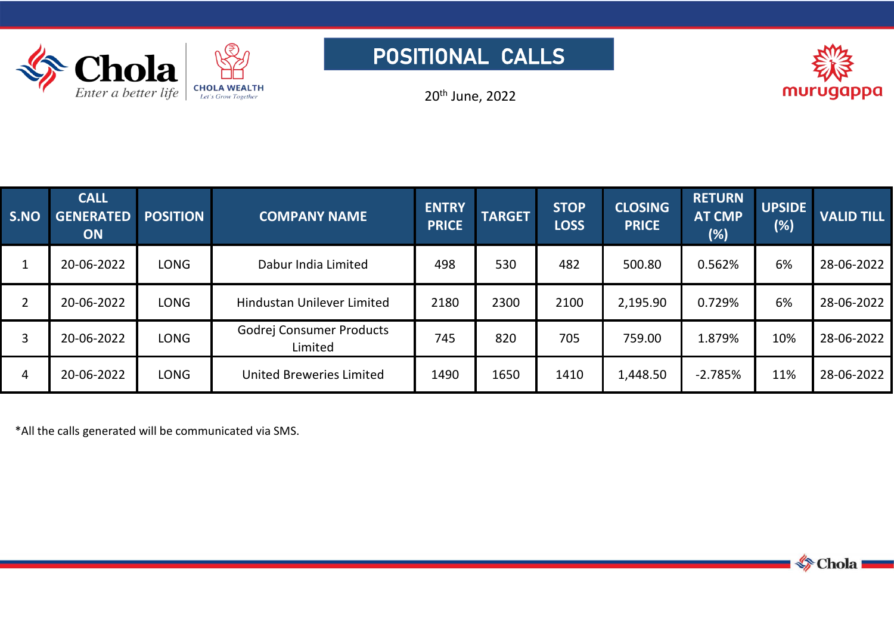

## POSITIONAL CALLS



20 th June, 2022

| S.NO           | <b>CALL</b><br><b>GENERATED</b><br><b>ON</b> | <b>POSITION</b> | <b>COMPANY NAME</b>                 | <b>ENTRY</b><br><b>PRICE</b> | <b>TARGET</b> | <b>STOP</b><br><b>LOSS</b> | <b>CLOSING</b><br><b>PRICE</b> | <b>RETURN</b><br><b>AT CMP</b><br>(%) | <b>UPSIDE</b><br>(%) | <b>VALID TILL</b> |
|----------------|----------------------------------------------|-----------------|-------------------------------------|------------------------------|---------------|----------------------------|--------------------------------|---------------------------------------|----------------------|-------------------|
| $\mathbf{1}$   | 20-06-2022                                   | <b>LONG</b>     | Dabur India Limited                 | 498                          | 530           | 482                        | 500.80                         | 0.562%                                | 6%                   | 28-06-2022        |
| $\overline{2}$ | 20-06-2022                                   | <b>LONG</b>     | Hindustan Unilever Limited          | 2180                         | 2300          | 2100                       | 2,195.90                       | 0.729%                                | 6%                   | 28-06-2022        |
| 3              | 20-06-2022                                   | <b>LONG</b>     | Godrej Consumer Products<br>Limited | 745                          | 820           | 705                        | 759.00                         | 1.879%                                | 10%                  | 28-06-2022        |
| $\overline{4}$ | 20-06-2022                                   | <b>LONG</b>     | <b>United Breweries Limited</b>     | 1490                         | 1650          | 1410                       | 1,448.50                       | $-2.785%$                             | 11%                  | 28-06-2022        |

\*All the calls generated will be communicated via SMS.

Chola